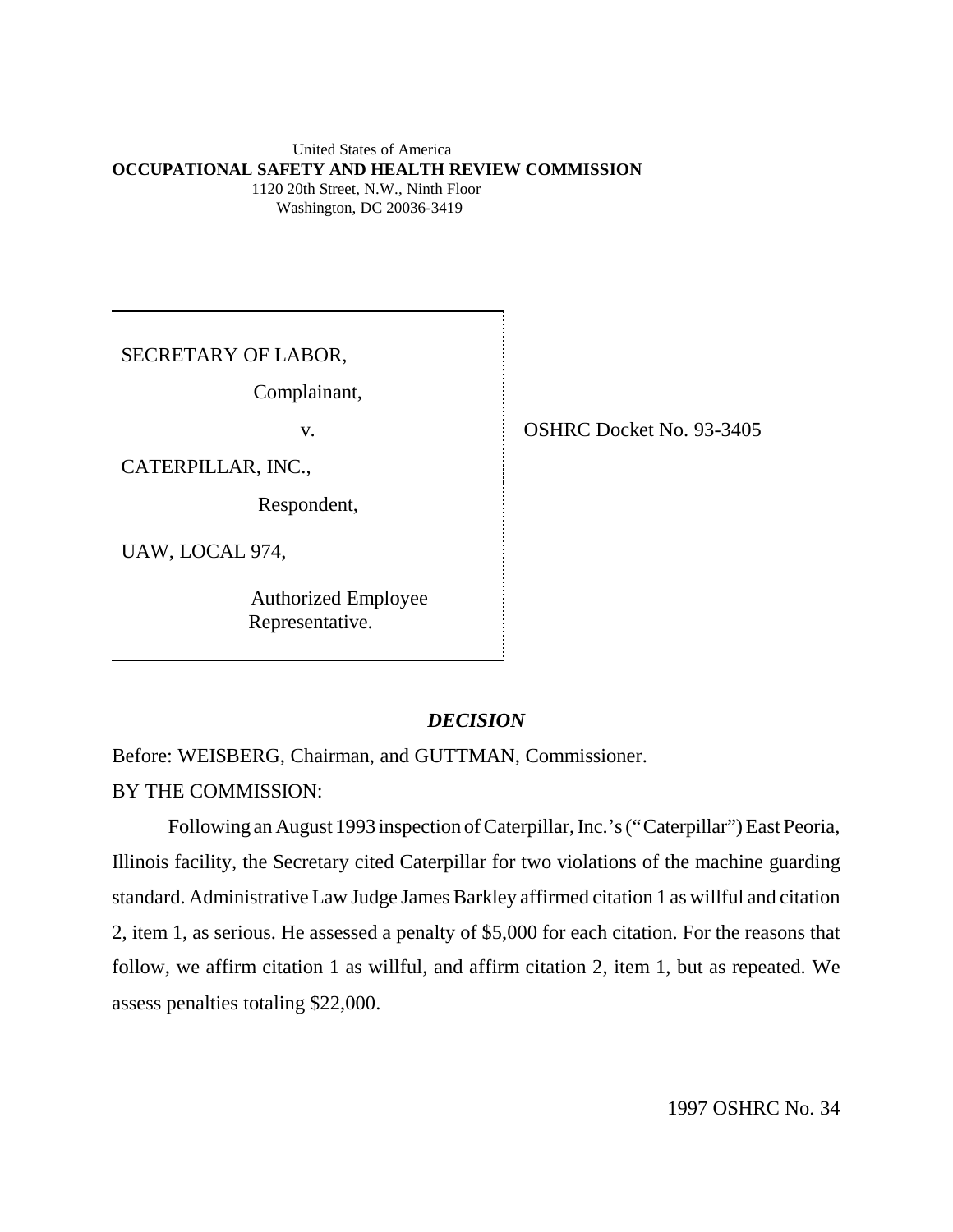#### United States of America **OCCUPATIONAL SAFETY AND HEALTH REVIEW COMMISSION** 1120 20th Street, N.W., Ninth Floor Washington, DC 20036-3419

SECRETARY OF LABOR,

Complainant,

CATERPILLAR, INC.,

Respondent,

UAW, LOCAL 974,

 Authorized Employee Representative.

v. OSHRC Docket No. 93-3405

### *DECISION*

Before: WEISBERG, Chairman, and GUTTMAN, Commissioner.

BY THE COMMISSION:

Following an August 1993 inspection of Caterpillar, Inc.'s ("Caterpillar") East Peoria, Illinois facility, the Secretary cited Caterpillar for two violations of the machine guarding standard. Administrative Law Judge James Barkley affirmed citation 1 as willful and citation 2, item 1, as serious. He assessed a penalty of \$5,000 for each citation. For the reasons that follow, we affirm citation 1 as willful, and affirm citation 2, item 1, but as repeated. We assess penalties totaling \$22,000.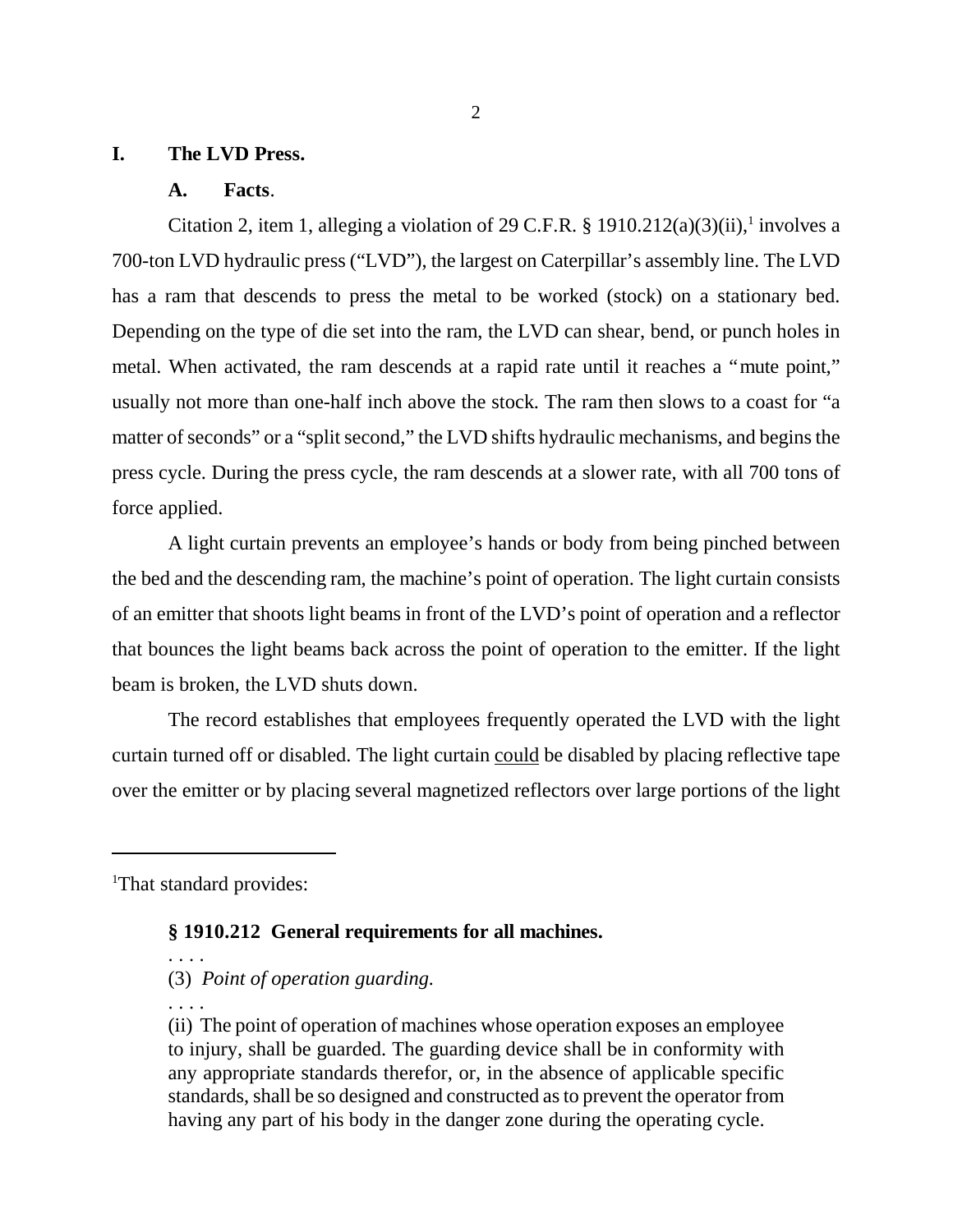#### **I. The LVD Press.**

#### **A. Facts**.

Citation 2, item 1, alleging a violation of 29 C.F.R. § 1910.212(a)(3)(ii),<sup>1</sup> involves a 700-ton LVD hydraulic press ("LVD"), the largest on Caterpillar's assembly line. The LVD has a ram that descends to press the metal to be worked (stock) on a stationary bed. Depending on the type of die set into the ram, the LVD can shear, bend, or punch holes in metal. When activated, the ram descends at a rapid rate until it reaches a "mute point," usually not more than one-half inch above the stock. The ram then slows to a coast for "a matter of seconds" or a "split second," the LVD shifts hydraulic mechanisms, and begins the press cycle. During the press cycle, the ram descends at a slower rate, with all 700 tons of force applied.

A light curtain prevents an employee's hands or body from being pinched between the bed and the descending ram, the machine's point of operation. The light curtain consists of an emitter that shoots light beams in front of the LVD's point of operation and a reflector that bounces the light beams back across the point of operation to the emitter. If the light beam is broken, the LVD shuts down.

The record establishes that employees frequently operated the LVD with the light curtain turned off or disabled. The light curtain could be disabled by placing reflective tape over the emitter or by placing several magnetized reflectors over large portions of the light

<sup>1</sup>That standard provides:

## **§ 1910.212 General requirements for all machines.**

(3) *Point of operation guarding.*

. . . .

. . . .

(ii) The point of operation of machines whose operation exposes an employee to injury, shall be guarded. The guarding device shall be in conformity with any appropriate standards therefor, or, in the absence of applicable specific standards, shall be so designed and constructed as to prevent the operator from having any part of his body in the danger zone during the operating cycle.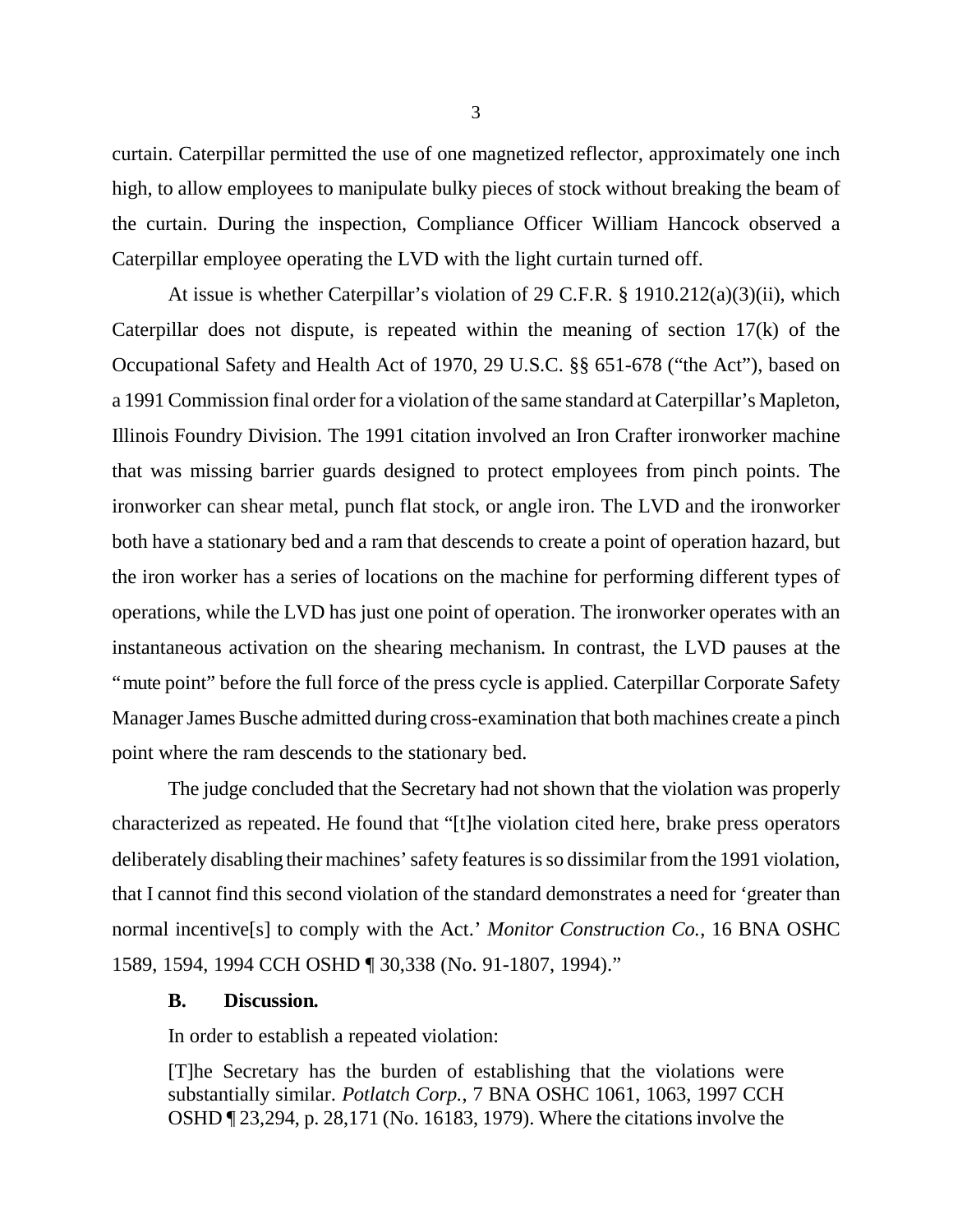curtain. Caterpillar permitted the use of one magnetized reflector, approximately one inch high, to allow employees to manipulate bulky pieces of stock without breaking the beam of the curtain. During the inspection, Compliance Officer William Hancock observed a Caterpillar employee operating the LVD with the light curtain turned off.

At issue is whether Caterpillar's violation of 29 C.F.R. § 1910.212(a)(3)(ii), which Caterpillar does not dispute, is repeated within the meaning of section 17(k) of the Occupational Safety and Health Act of 1970, 29 U.S.C. §§ 651-678 ("the Act"), based on a 1991 Commission final order for a violation of the same standard at Caterpillar's Mapleton, Illinois Foundry Division. The 1991 citation involved an Iron Crafter ironworker machine that was missing barrier guards designed to protect employees from pinch points. The ironworker can shear metal, punch flat stock, or angle iron. The LVD and the ironworker both have a stationary bed and a ram that descends to create a point of operation hazard, but the iron worker has a series of locations on the machine for performing different types of operations, while the LVD has just one point of operation. The ironworker operates with an instantaneous activation on the shearing mechanism. In contrast, the LVD pauses at the "mute point" before the full force of the press cycle is applied. Caterpillar Corporate Safety Manager James Busche admitted during cross-examination that both machines create a pinch point where the ram descends to the stationary bed.

The judge concluded that the Secretary had not shown that the violation was properly characterized as repeated. He found that "[t]he violation cited here, brake press operators deliberately disabling their machines' safety features is so dissimilar from the 1991 violation, that I cannot find this second violation of the standard demonstrates a need for 'greater than normal incentive[s] to comply with the Act.' *Monitor Construction Co.*, 16 BNA OSHC 1589, 1594, 1994 CCH OSHD ¶ 30,338 (No. 91-1807, 1994)."

#### **B. Discussion.**

In order to establish a repeated violation:

[T]he Secretary has the burden of establishing that the violations were substantially similar. *Potlatch Corp.*, 7 BNA OSHC 1061, 1063, 1997 CCH OSHD ¶ 23,294, p. 28,171 (No. 16183, 1979). Where the citations involve the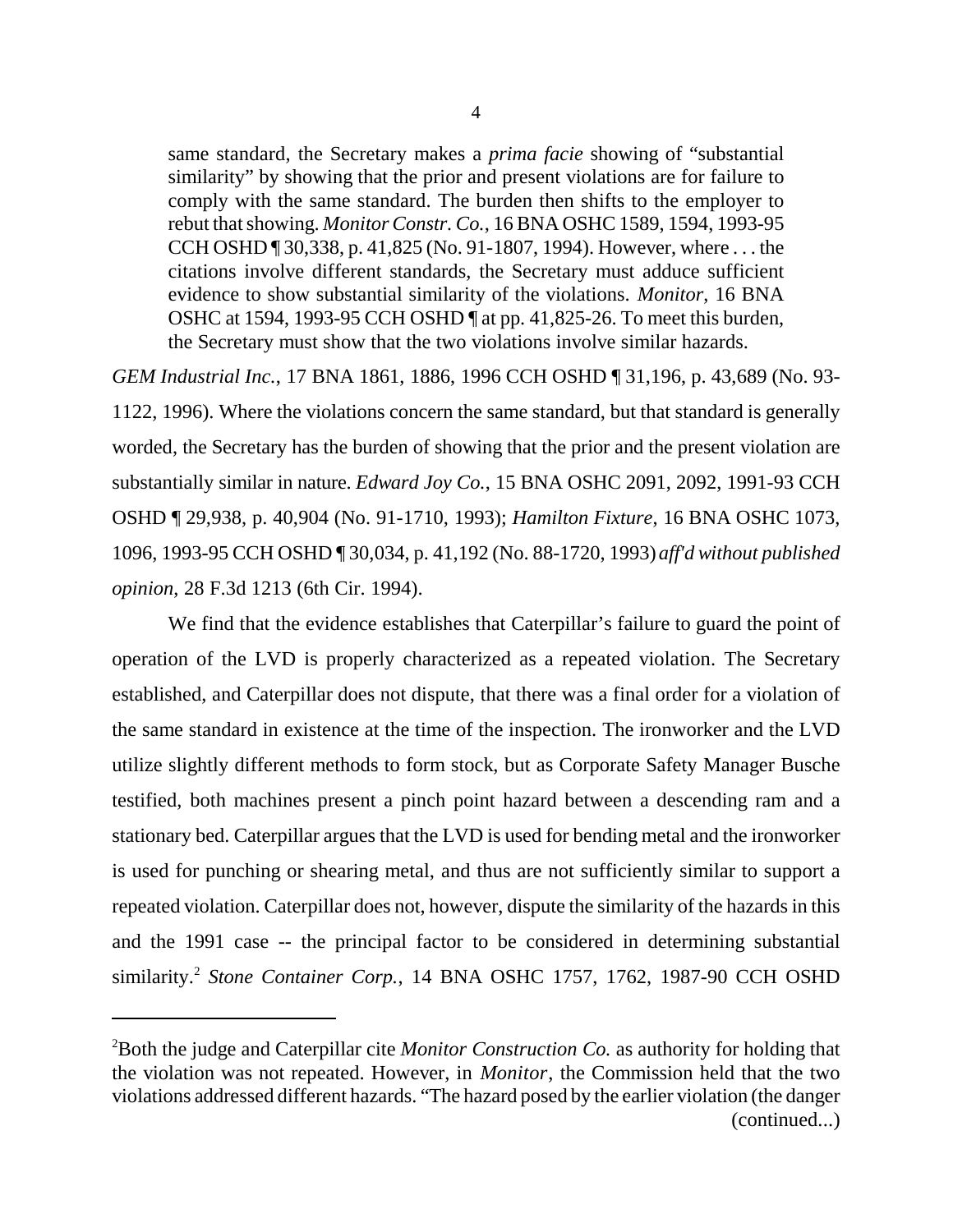same standard, the Secretary makes a *prima facie* showing of "substantial similarity" by showing that the prior and present violations are for failure to comply with the same standard. The burden then shifts to the employer to rebut that showing. *Monitor Constr. Co.*, 16 BNA OSHC 1589, 1594, 1993-95 CCH OSHD ¶ 30,338, p. 41,825 (No. 91-1807, 1994). However, where . . . the citations involve different standards, the Secretary must adduce sufficient evidence to show substantial similarity of the violations. *Monitor*, 16 BNA OSHC at 1594, 1993-95 CCH OSHD ¶ at pp. 41,825-26. To meet this burden, the Secretary must show that the two violations involve similar hazards.

*GEM Industrial Inc.*, 17 BNA 1861, 1886, 1996 CCH OSHD ¶ 31,196, p. 43,689 (No. 93- 1122, 1996). Where the violations concern the same standard, but that standard is generally worded, the Secretary has the burden of showing that the prior and the present violation are substantially similar in nature. *Edward Joy Co.*, 15 BNA OSHC 2091, 2092, 1991-93 CCH OSHD ¶ 29,938, p. 40,904 (No. 91-1710, 1993); *Hamilton Fixture*, 16 BNA OSHC 1073, 1096, 1993-95 CCH OSHD ¶ 30,034, p. 41,192 (No. 88-1720, 1993) *aff'd without published opinion*, 28 F.3d 1213 (6th Cir. 1994).

We find that the evidence establishes that Caterpillar's failure to guard the point of operation of the LVD is properly characterized as a repeated violation. The Secretary established, and Caterpillar does not dispute, that there was a final order for a violation of the same standard in existence at the time of the inspection. The ironworker and the LVD utilize slightly different methods to form stock, but as Corporate Safety Manager Busche testified, both machines present a pinch point hazard between a descending ram and a stationary bed. Caterpillar argues that the LVD is used for bending metal and the ironworker is used for punching or shearing metal, and thus are not sufficiently similar to support a repeated violation. Caterpillar does not, however, dispute the similarity of the hazards in this and the 1991 case -- the principal factor to be considered in determining substantial similarity.<sup>2</sup> Stone Container Corp., 14 BNA OSHC 1757, 1762, 1987-90 CCH OSHD

<sup>2</sup>Both the judge and Caterpillar cite *Monitor Construction Co.* as authority for holding that the violation was not repeated. However, in *Monitor*, the Commission held that the two violations addressed different hazards. "The hazard posed by the earlier violation (the danger (continued...)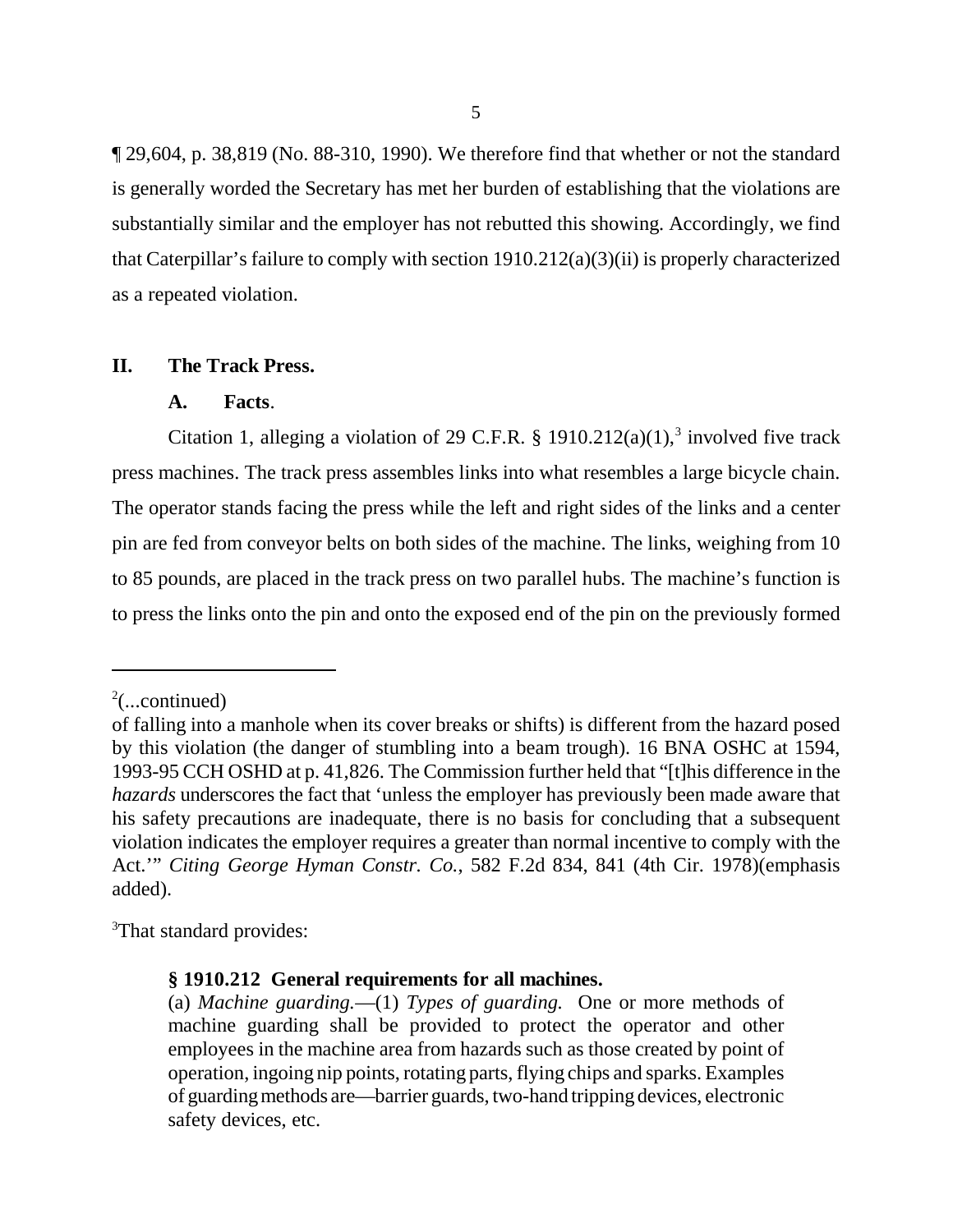¶ 29,604, p. 38,819 (No. 88-310, 1990). We therefore find that whether or not the standard is generally worded the Secretary has met her burden of establishing that the violations are substantially similar and the employer has not rebutted this showing. Accordingly, we find that Caterpillar's failure to comply with section 1910.212(a)(3)(ii) is properly characterized as a repeated violation.

### **II. The Track Press.**

#### **A. Facts**.

Citation 1, alleging a violation of 29 C.F.R. § 1910.212(a)(1),<sup>3</sup> involved five track press machines. The track press assembles links into what resembles a large bicycle chain. The operator stands facing the press while the left and right sides of the links and a center pin are fed from conveyor belts on both sides of the machine. The links, weighing from 10 to 85 pounds, are placed in the track press on two parallel hubs. The machine's function is to press the links onto the pin and onto the exposed end of the pin on the previously formed

<sup>3</sup>That standard provides:

 $2$ (...continued)

of falling into a manhole when its cover breaks or shifts) is different from the hazard posed by this violation (the danger of stumbling into a beam trough). 16 BNA OSHC at 1594, 1993-95 CCH OSHD at p. 41,826. The Commission further held that "[t]his difference in the *hazards* underscores the fact that 'unless the employer has previously been made aware that his safety precautions are inadequate, there is no basis for concluding that a subsequent violation indicates the employer requires a greater than normal incentive to comply with the Act.'" *Citing George Hyman Constr. Co.*, 582 F.2d 834, 841 (4th Cir. 1978)(emphasis added).

**<sup>§ 1910.212</sup> General requirements for all machines.**

<sup>(</sup>a) *Machine guarding.*— (1) *Types of guarding.* One or more methods of machine guarding shall be provided to protect the operator and other employees in the machine area from hazards such as those created by point of operation, ingoing nip points, rotating parts, flying chips and sparks. Examples of guarding methods are— barrier guards, two-hand tripping devices, electronic safety devices, etc.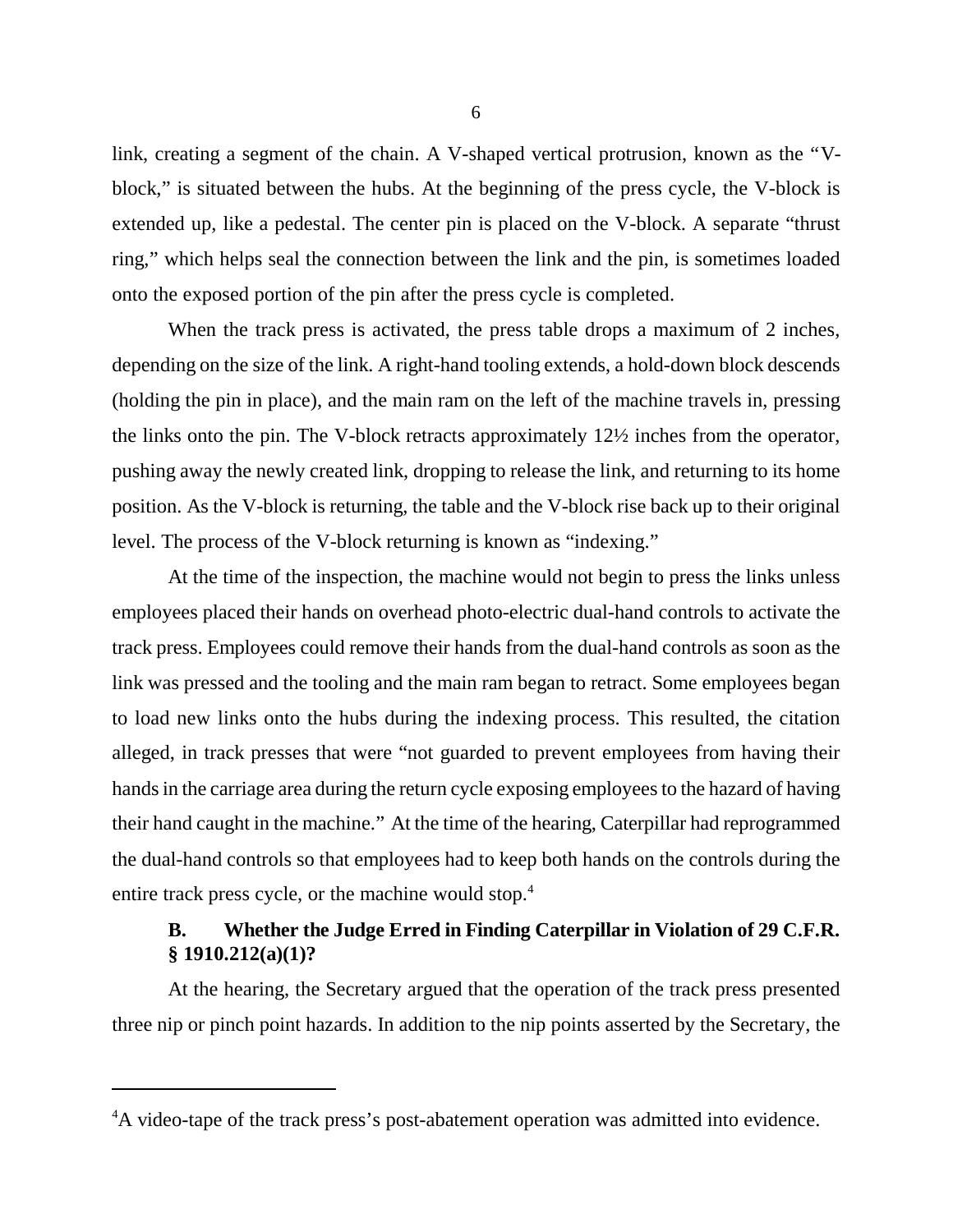link, creating a segment of the chain. A V-shaped vertical protrusion, known as the "Vblock," is situated between the hubs. At the beginning of the press cycle, the V-block is extended up, like a pedestal. The center pin is placed on the V-block. A separate "thrust ring," which helps seal the connection between the link and the pin, is sometimes loaded onto the exposed portion of the pin after the press cycle is completed.

When the track press is activated, the press table drops a maximum of 2 inches, depending on the size of the link. A right-hand tooling extends, a hold-down block descends (holding the pin in place), and the main ram on the left of the machine travels in, pressing the links onto the pin. The V-block retracts approximately 12½ inches from the operator, pushing away the newly created link, dropping to release the link, and returning to its home position. As the V-block is returning, the table and the V-block rise back up to their original level. The process of the V-block returning is known as "indexing."

At the time of the inspection, the machine would not begin to press the links unless employees placed their hands on overhead photo-electric dual-hand controls to activate the track press. Employees could remove their hands from the dual-hand controls as soon as the link was pressed and the tooling and the main ram began to retract. Some employees began to load new links onto the hubs during the indexing process. This resulted, the citation alleged, in track presses that were "not guarded to prevent employees from having their hands in the carriage area during the return cycle exposing employees to the hazard of having their hand caught in the machine." At the time of the hearing, Caterpillar had reprogrammed the dual-hand controls so that employees had to keep both hands on the controls during the entire track press cycle, or the machine would stop.<sup>4</sup>

# **B. Whether the Judge Erred in Finding Caterpillar in Violation of 29 C.F.R. § 1910.212(a)(1)?**

At the hearing, the Secretary argued that the operation of the track press presented three nip or pinch point hazards. In addition to the nip points asserted by the Secretary, the

<sup>&</sup>lt;sup>4</sup>A video-tape of the track press's post-abatement operation was admitted into evidence.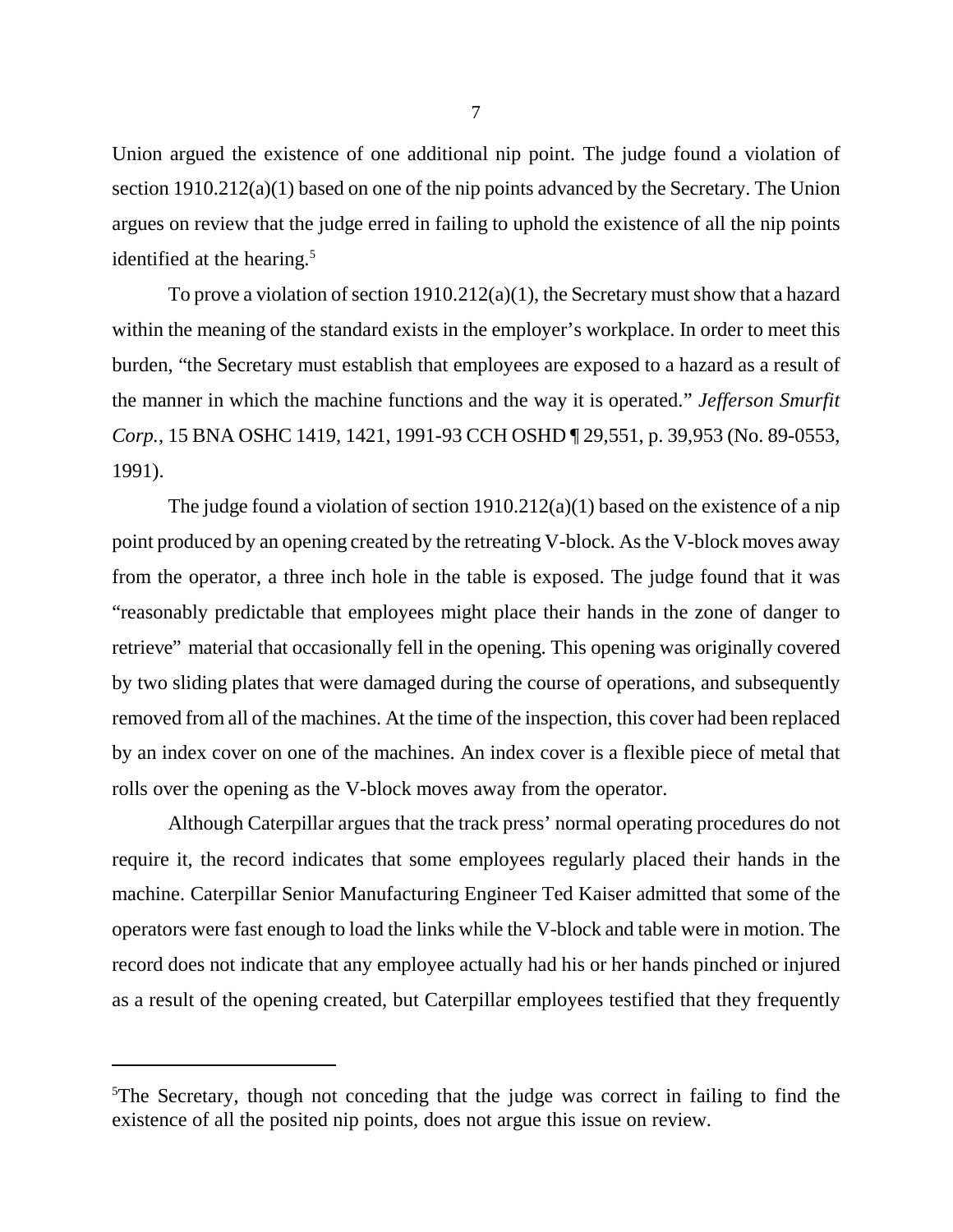Union argued the existence of one additional nip point. The judge found a violation of section 1910.212(a)(1) based on one of the nip points advanced by the Secretary. The Union argues on review that the judge erred in failing to uphold the existence of all the nip points identified at the hearing. $5$ 

To prove a violation of section 1910.212(a)(1), the Secretary must show that a hazard within the meaning of the standard exists in the employer's workplace. In order to meet this burden, "the Secretary must establish that employees are exposed to a hazard as a result of the manner in which the machine functions and the way it is operated." *Jefferson Smurfit Corp.*, 15 BNA OSHC 1419, 1421, 1991-93 CCH OSHD ¶ 29,551, p. 39,953 (No. 89-0553, 1991).

The judge found a violation of section  $1910.212(a)(1)$  based on the existence of a nip point produced by an opening created by the retreating V-block. As the V-block moves away from the operator, a three inch hole in the table is exposed. The judge found that it was "reasonably predictable that employees might place their hands in the zone of danger to retrieve" material that occasionally fell in the opening. This opening was originally covered by two sliding plates that were damaged during the course of operations, and subsequently removed from all of the machines. At the time of the inspection, this cover had been replaced by an index cover on one of the machines. An index cover is a flexible piece of metal that rolls over the opening as the V-block moves away from the operator.

Although Caterpillar argues that the track press' normal operating procedures do not require it, the record indicates that some employees regularly placed their hands in the machine. Caterpillar Senior Manufacturing Engineer Ted Kaiser admitted that some of the operators were fast enough to load the links while the V-block and table were in motion. The record does not indicate that any employee actually had his or her hands pinched or injured as a result of the opening created, but Caterpillar employees testified that they frequently

<sup>&</sup>lt;sup>5</sup>The Secretary, though not conceding that the judge was correct in failing to find the existence of all the posited nip points, does not argue this issue on review.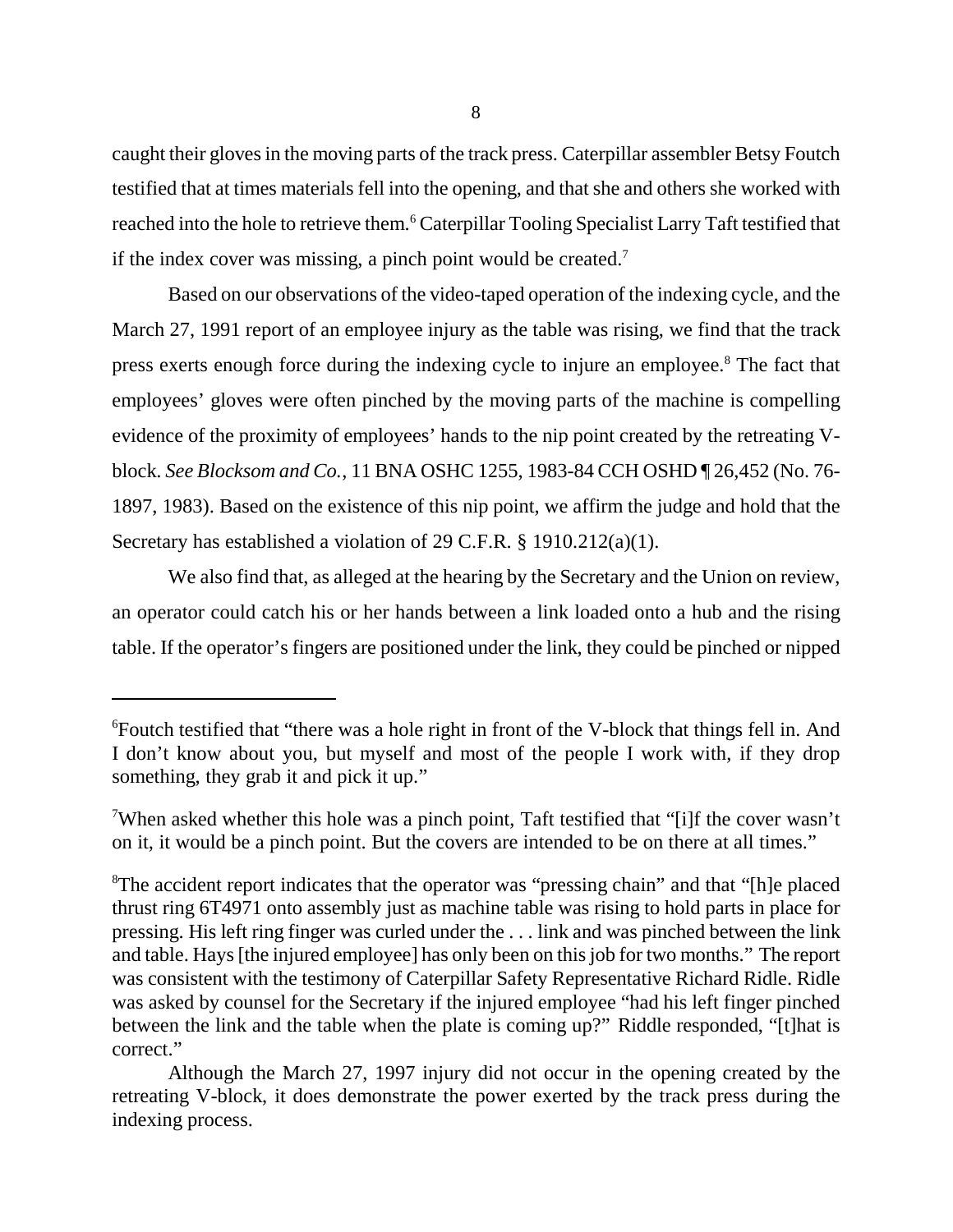caught their gloves in the moving parts of the track press. Caterpillar assembler Betsy Foutch testified that at times materials fell into the opening, and that she and others she worked with reached into the hole to retrieve them.<sup>6</sup> Caterpillar Tooling Specialist Larry Taft testified that if the index cover was missing, a pinch point would be created.<sup>7</sup>

Based on our observations of the video-taped operation of the indexing cycle, and the March 27, 1991 report of an employee injury as the table was rising, we find that the track press exerts enough force during the indexing cycle to injure an employee.<sup>8</sup> The fact that employees' gloves were often pinched by the moving parts of the machine is compelling evidence of the proximity of employees' hands to the nip point created by the retreating Vblock. *See Blocksom and Co.*, 11 BNA OSHC 1255, 1983-84 CCH OSHD ¶ 26,452 (No. 76- 1897, 1983). Based on the existence of this nip point, we affirm the judge and hold that the Secretary has established a violation of 29 C.F.R. § 1910.212(a)(1).

We also find that, as alleged at the hearing by the Secretary and the Union on review, an operator could catch his or her hands between a link loaded onto a hub and the rising table. If the operator's fingers are positioned under the link, they could be pinched or nipped

<sup>6</sup>Foutch testified that "there was a hole right in front of the V-block that things fell in. And I don't know about you, but myself and most of the people I work with, if they drop something, they grab it and pick it up."

<sup>7</sup>When asked whether this hole was a pinch point, Taft testified that "[i]f the cover wasn't on it, it would be a pinch point. But the covers are intended to be on there at all times."

<sup>&</sup>lt;sup>8</sup>The accident report indicates that the operator was "pressing chain" and that "[h]e placed thrust ring 6T4971 onto assembly just as machine table was rising to hold parts in place for pressing. His left ring finger was curled under the . . . link and was pinched between the link and table. Hays [the injured employee] has only been on this job for two months." The report was consistent with the testimony of Caterpillar Safety Representative Richard Ridle. Ridle was asked by counsel for the Secretary if the injured employee "had his left finger pinched between the link and the table when the plate is coming up?" Riddle responded, "[t]hat is correct."

Although the March 27, 1997 injury did not occur in the opening created by the retreating V-block, it does demonstrate the power exerted by the track press during the indexing process.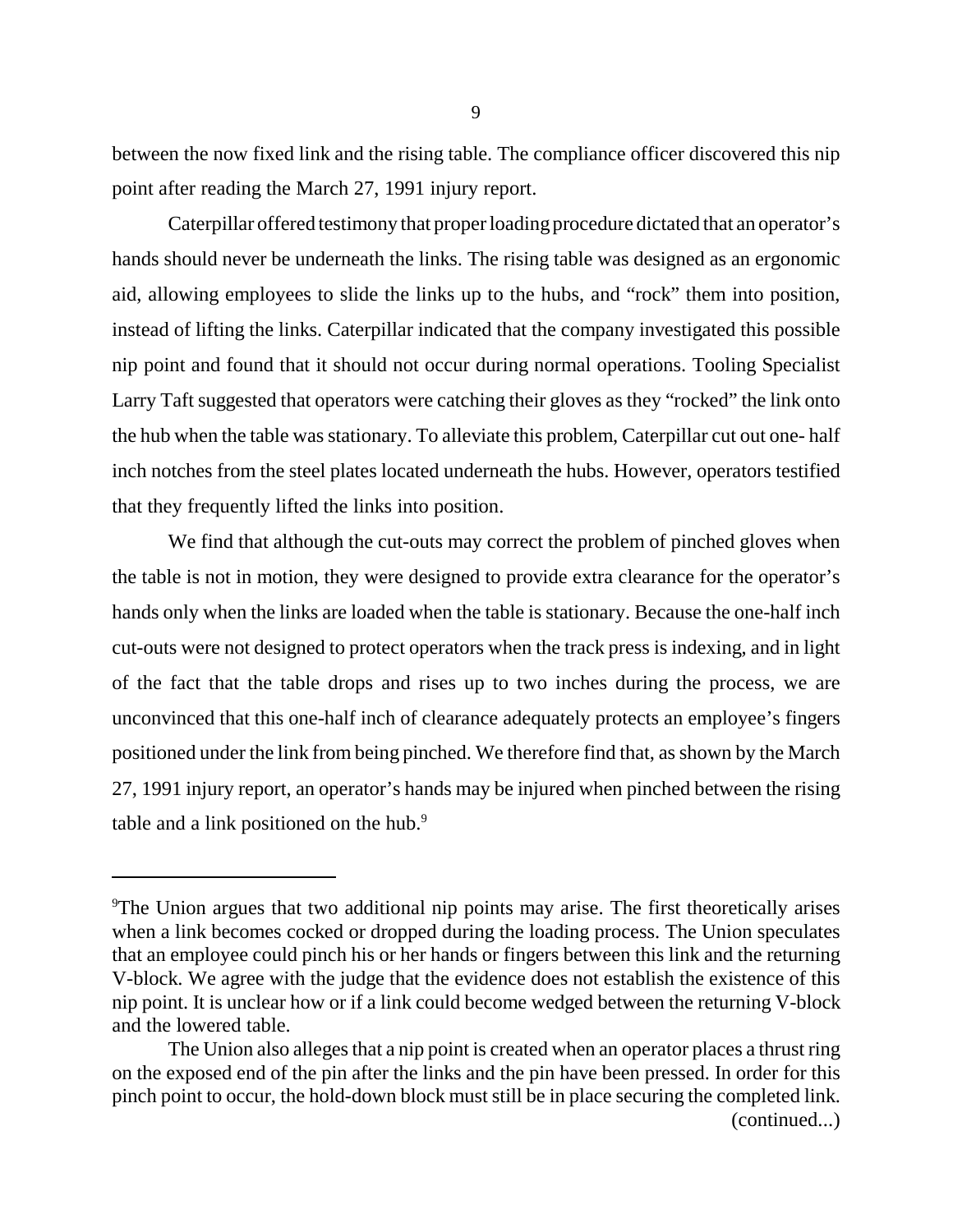between the now fixed link and the rising table. The compliance officer discovered this nip point after reading the March 27, 1991 injury report.

Caterpillar offered testimony that proper loading procedure dictated that an operator's hands should never be underneath the links. The rising table was designed as an ergonomic aid, allowing employees to slide the links up to the hubs, and "rock" them into position, instead of lifting the links. Caterpillar indicated that the company investigated this possible nip point and found that it should not occur during normal operations. Tooling Specialist Larry Taft suggested that operators were catching their gloves as they "rocked" the link onto the hub when the table was stationary. To alleviate this problem, Caterpillar cut out one- half inch notches from the steel plates located underneath the hubs. However, operators testified that they frequently lifted the links into position.

We find that although the cut-outs may correct the problem of pinched gloves when the table is not in motion, they were designed to provide extra clearance for the operator's hands only when the links are loaded when the table is stationary. Because the one-half inch cut-outs were not designed to protect operators when the track press is indexing, and in light of the fact that the table drops and rises up to two inches during the process, we are unconvinced that this one-half inch of clearance adequately protects an employee's fingers positioned under the link from being pinched. We therefore find that, as shown by the March 27, 1991 injury report, an operator's hands may be injured when pinched between the rising table and a link positioned on the hub.<sup>9</sup>

<sup>9</sup>The Union argues that two additional nip points may arise. The first theoretically arises when a link becomes cocked or dropped during the loading process. The Union speculates that an employee could pinch his or her hands or fingers between this link and the returning V-block. We agree with the judge that the evidence does not establish the existence of this nip point. It is unclear how or if a link could become wedged between the returning V-block and the lowered table.

The Union also alleges that a nip point is created when an operator places a thrust ring on the exposed end of the pin after the links and the pin have been pressed. In order for this pinch point to occur, the hold-down block must still be in place securing the completed link.

<sup>(</sup>continued...)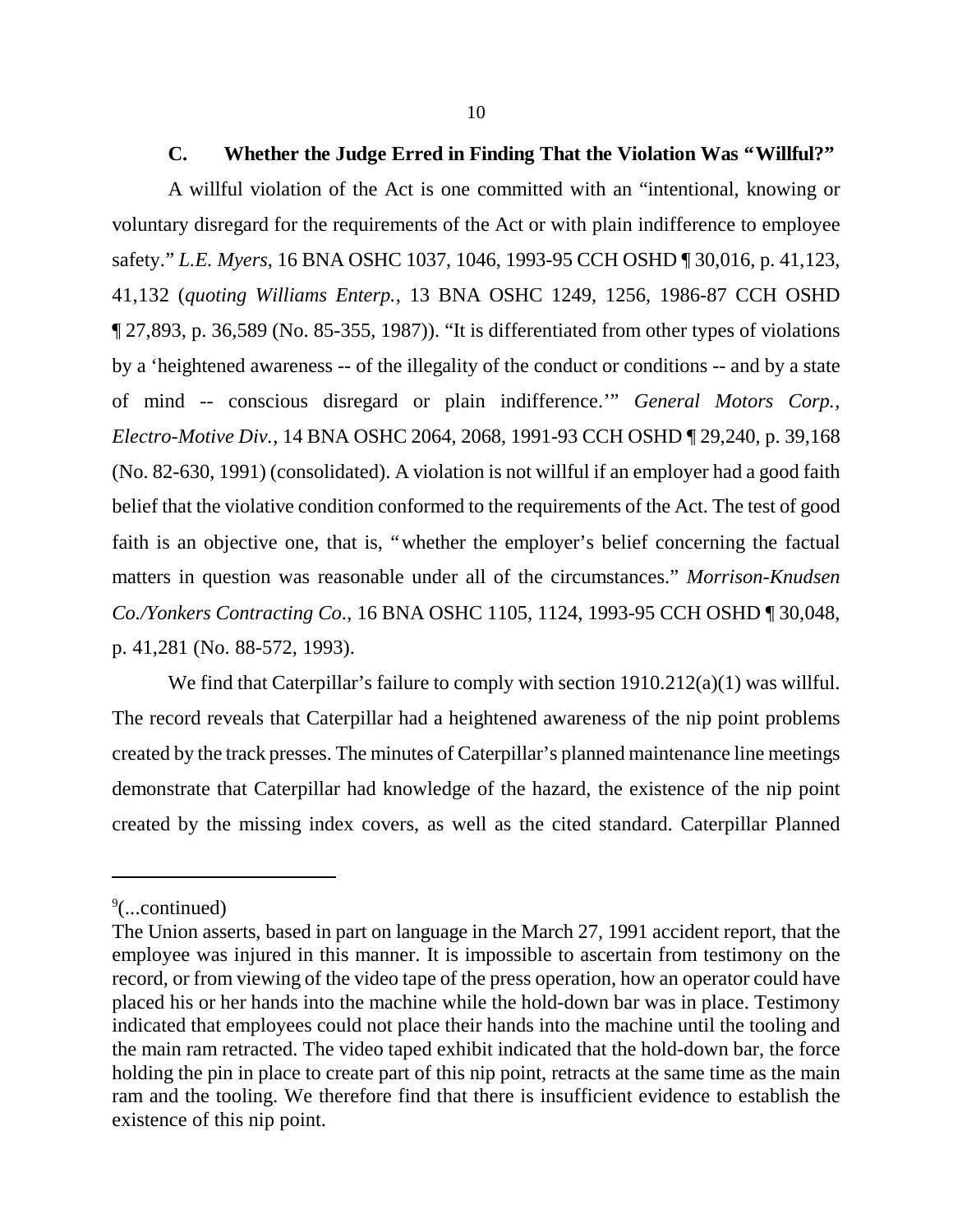#### **C. Whether the Judge Erred in Finding That the Violation Was "Willful?"**

A willful violation of the Act is one committed with an "intentional, knowing or voluntary disregard for the requirements of the Act or with plain indifference to employee safety."*L.E. Myers*, 16 BNA OSHC 1037, 1046, 1993-95 CCH OSHD ¶ 30,016, p. 41,123, 41,132 (*quoting Williams Enterp.*, 13 BNA OSHC 1249, 1256, 1986-87 CCH OSHD ¶ 27,893, p. 36,589 (No. 85-355, 1987)). "It is differentiated from other types of violations by a 'heightened awareness -- of the illegality of the conduct or conditions -- and by a state of mind -- conscious disregard or plain indifference.'" *General Motors Corp., Electro-Motive Div.*, 14 BNA OSHC 2064, 2068, 1991-93 CCH OSHD ¶ 29,240, p. 39,168 (No. 82-630, 1991) (consolidated). A violation is not willful if an employer had a good faith belief that the violative condition conformed to the requirements of the Act. The test of good faith is an objective one, that is, "whether the employer's belief concerning the factual matters in question was reasonable under all of the circumstances." *Morrison-Knudsen Co./Yonkers Contracting Co*., 16 BNA OSHC 1105, 1124, 1993-95 CCH OSHD ¶ 30,048, p. 41,281 (No. 88-572, 1993).

We find that Caterpillar's failure to comply with section 1910.212(a)(1) was willful. The record reveals that Caterpillar had a heightened awareness of the nip point problems created by the track presses. The minutes of Caterpillar's planned maintenance line meetings demonstrate that Caterpillar had knowledge of the hazard, the existence of the nip point created by the missing index covers, as well as the cited standard. Caterpillar Planned

<sup>9</sup> (...continued)

The Union asserts, based in part on language in the March 27, 1991 accident report, that the employee was injured in this manner. It is impossible to ascertain from testimony on the record, or from viewing of the video tape of the press operation, how an operator could have placed his or her hands into the machine while the hold-down bar was in place. Testimony indicated that employees could not place their hands into the machine until the tooling and the main ram retracted. The video taped exhibit indicated that the hold-down bar, the force holding the pin in place to create part of this nip point, retracts at the same time as the main ram and the tooling. We therefore find that there is insufficient evidence to establish the existence of this nip point.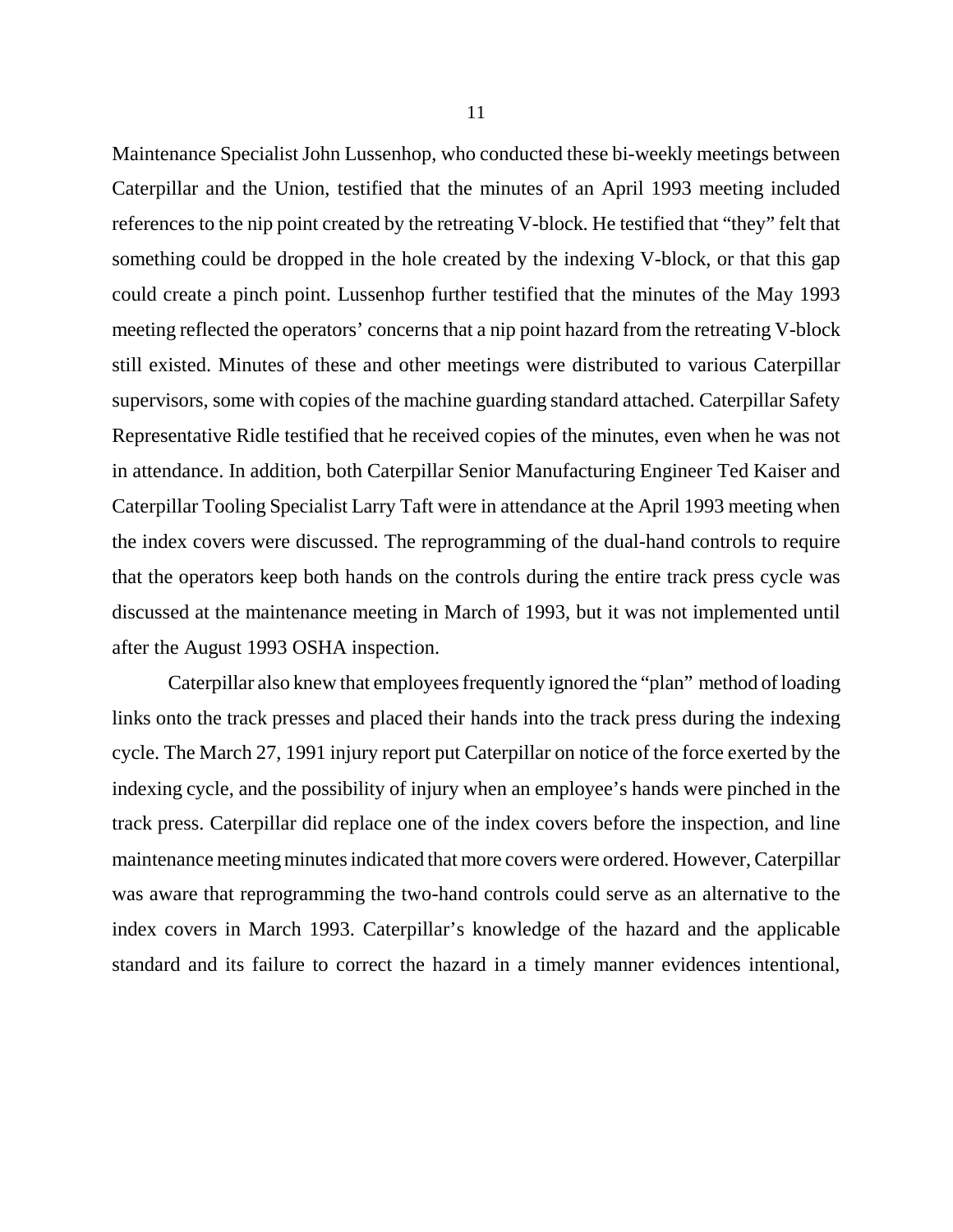Maintenance Specialist John Lussenhop, who conducted these bi-weekly meetings between Caterpillar and the Union, testified that the minutes of an April 1993 meeting included references to the nip point created by the retreating V-block. He testified that "they" felt that something could be dropped in the hole created by the indexing V-block, or that this gap could create a pinch point. Lussenhop further testified that the minutes of the May 1993 meeting reflected the operators' concerns that a nip point hazard from the retreating V-block still existed. Minutes of these and other meetings were distributed to various Caterpillar supervisors, some with copies of the machine guarding standard attached. Caterpillar Safety Representative Ridle testified that he received copies of the minutes, even when he was not in attendance. In addition, both Caterpillar Senior Manufacturing Engineer Ted Kaiser and Caterpillar Tooling Specialist Larry Taft were in attendance at the April 1993 meeting when the index covers were discussed. The reprogramming of the dual-hand controls to require that the operators keep both hands on the controls during the entire track press cycle was discussed at the maintenance meeting in March of 1993, but it was not implemented until after the August 1993 OSHA inspection.

Caterpillar also knew that employees frequently ignored the "plan" method of loading links onto the track presses and placed their hands into the track press during the indexing cycle. The March 27, 1991 injury report put Caterpillar on notice of the force exerted by the indexing cycle, and the possibility of injury when an employee's hands were pinched in the track press. Caterpillar did replace one of the index covers before the inspection, and line maintenance meeting minutes indicated that more covers were ordered. However, Caterpillar was aware that reprogramming the two-hand controls could serve as an alternative to the index covers in March 1993. Caterpillar's knowledge of the hazard and the applicable standard and its failure to correct the hazard in a timely manner evidences intentional,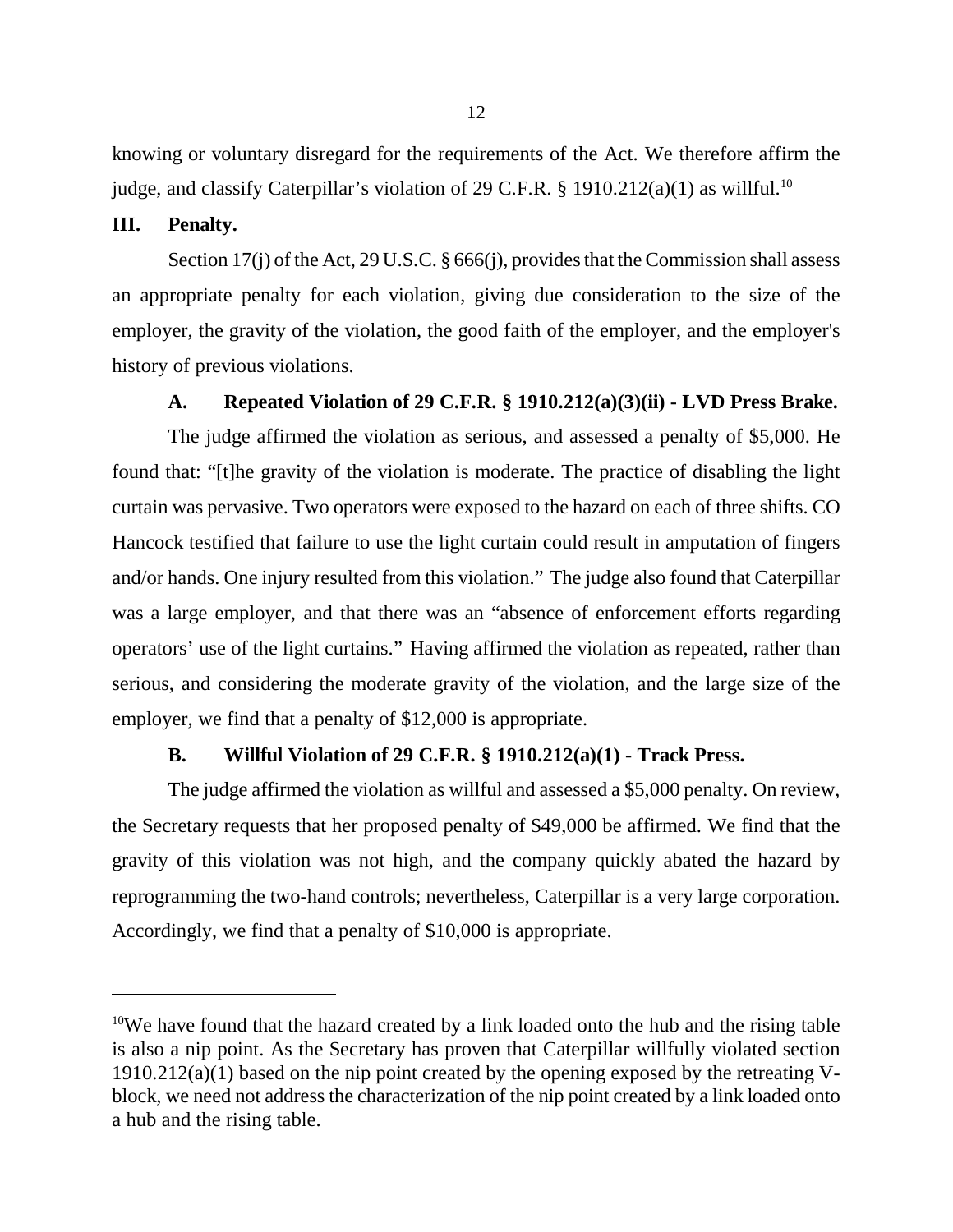knowing or voluntary disregard for the requirements of the Act. We therefore affirm the judge, and classify Caterpillar's violation of 29 C.F.R. § 1910.212(a)(1) as willful.<sup>10</sup>

### **III. Penalty.**

Section 17(j) of the Act, 29 U.S.C. § 666(j), provides that the Commission shall assess an appropriate penalty for each violation, giving due consideration to the size of the employer, the gravity of the violation, the good faith of the employer, and the employer's history of previous violations.

### **A. Repeated Violation of 29 C.F.R. § 1910.212(a)(3)(ii) - LVD Press Brake.**

The judge affirmed the violation as serious, and assessed a penalty of \$5,000. He found that: "[t]he gravity of the violation is moderate. The practice of disabling the light curtain was pervasive. Two operators were exposed to the hazard on each of three shifts. CO Hancock testified that failure to use the light curtain could result in amputation of fingers and/or hands. One injury resulted from this violation." The judge also found that Caterpillar was a large employer, and that there was an "absence of enforcement efforts regarding operators' use of the light curtains." Having affirmed the violation as repeated, rather than serious, and considering the moderate gravity of the violation, and the large size of the employer, we find that a penalty of \$12,000 is appropriate.

### **B. Willful Violation of 29 C.F.R. § 1910.212(a)(1) - Track Press.**

The judge affirmed the violation as willful and assessed a \$5,000 penalty. On review, the Secretary requests that her proposed penalty of \$49,000 be affirmed. We find that the gravity of this violation was not high, and the company quickly abated the hazard by reprogramming the two-hand controls; nevertheless, Caterpillar is a very large corporation. Accordingly, we find that a penalty of \$10,000 is appropriate.

<sup>&</sup>lt;sup>10</sup>We have found that the hazard created by a link loaded onto the hub and the rising table is also a nip point. As the Secretary has proven that Caterpillar willfully violated section  $1910.212(a)(1)$  based on the nip point created by the opening exposed by the retreating Vblock, we need not address the characterization of the nip point created by a link loaded onto a hub and the rising table.